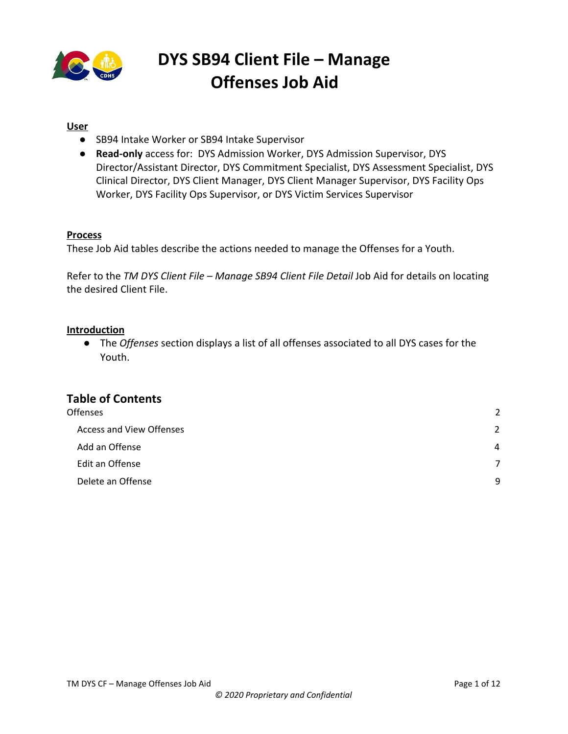

### **User**

- SB94 Intake Worker or SB94 Intake Supervisor
- **Read-only** access for: DYS Admission Worker, DYS Admission Supervisor, DYS Director/Assistant Director, DYS Commitment Specialist, DYS Assessment Specialist, DYS Clinical Director, DYS Client Manager, DYS Client Manager Supervisor, DYS Facility Ops Worker, DYS Facility Ops Supervisor, or DYS Victim Services Supervisor

### **Process**

These Job Aid tables describe the actions needed to manage the Offenses for a Youth.

Refer to the *TM DYS Client File – Manage SB94 Client File Detail* Job Aid for details on locating the desired Client File.

### **Introduction**

● The *Offenses* section displays a list of all offenses associated to all DYS cases for the Youth.

### **Table of Contents**

| <b>Offenses</b>                 | 2              |
|---------------------------------|----------------|
| <b>Access and View Offenses</b> | $\overline{2}$ |
| Add an Offense                  | 4              |
| Edit an Offense                 | 7              |
| Delete an Offense               | 9              |
|                                 |                |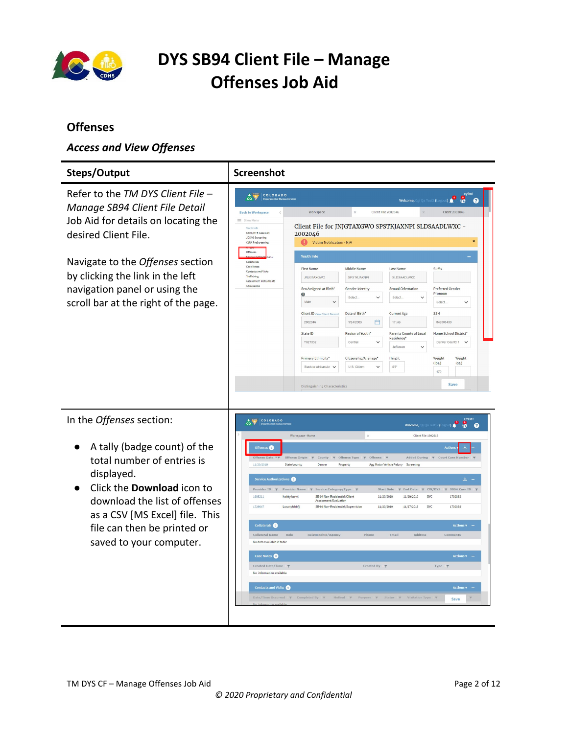

### <span id="page-1-0"></span>**Offenses**

### <span id="page-1-1"></span>*Access and View Offenses*

|                                                                                                                                                                                                                                                                                                                                                                                                                                      | Screenshot                                                                                                                                                                                                                                                                                                                                                                                                                                                                                                                                                                                                                             |                                                                                                                                                                                                                                                                                                                                                                                                                                                                                                                                                                                                                                                                                                                                                                                                                                                                                                                                                                                                                                                                                                                                                                                                                                                                                                                                                                                                                                                                                                                                                                                                                                                                                                 |  |                |
|--------------------------------------------------------------------------------------------------------------------------------------------------------------------------------------------------------------------------------------------------------------------------------------------------------------------------------------------------------------------------------------------------------------------------------------|----------------------------------------------------------------------------------------------------------------------------------------------------------------------------------------------------------------------------------------------------------------------------------------------------------------------------------------------------------------------------------------------------------------------------------------------------------------------------------------------------------------------------------------------------------------------------------------------------------------------------------------|-------------------------------------------------------------------------------------------------------------------------------------------------------------------------------------------------------------------------------------------------------------------------------------------------------------------------------------------------------------------------------------------------------------------------------------------------------------------------------------------------------------------------------------------------------------------------------------------------------------------------------------------------------------------------------------------------------------------------------------------------------------------------------------------------------------------------------------------------------------------------------------------------------------------------------------------------------------------------------------------------------------------------------------------------------------------------------------------------------------------------------------------------------------------------------------------------------------------------------------------------------------------------------------------------------------------------------------------------------------------------------------------------------------------------------------------------------------------------------------------------------------------------------------------------------------------------------------------------------------------------------------------------------------------------------------------------|--|----------------|
| Refer to the TM DYS Client File -                                                                                                                                                                                                                                                                                                                                                                                                    | COLORADO<br>$\hat{c}$                                                                                                                                                                                                                                                                                                                                                                                                                                                                                                                                                                                                                  |                                                                                                                                                                                                                                                                                                                                                                                                                                                                                                                                                                                                                                                                                                                                                                                                                                                                                                                                                                                                                                                                                                                                                                                                                                                                                                                                                                                                                                                                                                                                                                                                                                                                                                 |  | cyfmt<br>G     |
|                                                                                                                                                                                                                                                                                                                                                                                                                                      | <b>Back to Workspace</b>                                                                                                                                                                                                                                                                                                                                                                                                                                                                                                                                                                                                               |                                                                                                                                                                                                                                                                                                                                                                                                                                                                                                                                                                                                                                                                                                                                                                                                                                                                                                                                                                                                                                                                                                                                                                                                                                                                                                                                                                                                                                                                                                                                                                                                                                                                                                 |  | Client 2002046 |
| desired Client File.                                                                                                                                                                                                                                                                                                                                                                                                                 | Show Menu<br>Youth Info<br>SB94/MTR Case List<br><b>JDSAG Screening</b><br>CIRA PreScreening                                                                                                                                                                                                                                                                                                                                                                                                                                                                                                                                           | Welcome, Cgi Qa Test5 (Logout)<br>ℯ<br>Client File 2002046<br>Workspace<br>Client File for JNJGTAXGWO SPSTKJAXNPI SLDSAADLWXC -<br>2002046<br>Victim Notification - N/A<br><b>Youth Info</b><br>Suffix<br><b>First Name</b><br>Middle Name<br><b>Last Name</b><br><b>JNJGTAXGWO</b><br>SPSTKJAXNP<br>SLDSAADLWXC<br>Sex Assigned at Birth*<br><b>Sexual Orientation</b><br>Preferred Gender<br>Gender Identity<br>Pronoun<br>$\mathbf 0$<br>Select.<br>$\checkmark$<br>Select.<br>Male<br>$\checkmark$<br>Select<br>SSN<br>Date of Birth*<br><b>Current Age</b><br>Client ID View Client Record<br>白<br>342003439<br>2002046<br>1/24/2003<br>17 yrs<br>State ID<br>Region of Youth*<br>Home School District*<br>Parents County of Legal<br>Residence <sup>*</sup><br>Y827332<br>Central<br>Denver County 1 V<br>$\check{ }$<br>Jeffersor<br>$\checkmark$<br>Primary Ethnicity*<br>Citizenship/Alienage'<br>Height<br>Weight<br>Weight<br>(lbs.)<br>(oz.)<br>Black or African An V<br>U.S. Citizen<br>5'3"<br>170<br>Save<br><b>Distinguishing Characteristics</b><br>$\mathbf{D}$<br>ŏ<br>$\boldsymbol{\Omega}$<br>Welcome.<br>Client File 1992618<br>Workspace - Home<br>Actio<br>Added During $\qquad \blacktriangledown$ Court Case Number<br>Offense Type<br>$\tau$ Offense $\tau$<br><b>T</b> County<br>Denver<br>Property<br>Agg Motor Vehicle Felony<br>Screening<br>医。<br>Start Date<br>▼ Service Category/Type<br>F End Date<br>$\nabla$ CW/DYS<br>Y SB94 Case ID<br>SB-94 Non-Residential/Client<br>11/20/2019<br>11/20/2019<br>DYC<br>1730362<br>Assessment/Evaluation<br>11/20/2019<br>SB-94 Non-Residential/Supervision<br>11/27/2019<br><b>DYC</b><br>1730362<br><b>Actions v</b> |  |                |
|                                                                                                                                                                                                                                                                                                                                                                                                                                      | Offenses                                                                                                                                                                                                                                                                                                                                                                                                                                                                                                                                                                                                                               |                                                                                                                                                                                                                                                                                                                                                                                                                                                                                                                                                                                                                                                                                                                                                                                                                                                                                                                                                                                                                                                                                                                                                                                                                                                                                                                                                                                                                                                                                                                                                                                                                                                                                                 |  |                |
|                                                                                                                                                                                                                                                                                                                                                                                                                                      | Case Notes<br>Contacts and Visits<br>Trafficking                                                                                                                                                                                                                                                                                                                                                                                                                                                                                                                                                                                       |                                                                                                                                                                                                                                                                                                                                                                                                                                                                                                                                                                                                                                                                                                                                                                                                                                                                                                                                                                                                                                                                                                                                                                                                                                                                                                                                                                                                                                                                                                                                                                                                                                                                                                 |  |                |
| Job Aid for details on locating the<br>Navigate to the Offenses section<br>Collaterals<br>by clicking the link in the left<br>Assessment Instruments<br>Admissions<br>navigation panel or using the<br>scroll bar at the right of the page.<br>In the Offenses section:<br>COLORADO<br>A tally (badge count) of the<br>Offenses<br>Offense Origin<br><b>Offense Date</b><br>total number of entries is<br>11/20/2019<br>State/county |                                                                                                                                                                                                                                                                                                                                                                                                                                                                                                                                                                                                                                        |                                                                                                                                                                                                                                                                                                                                                                                                                                                                                                                                                                                                                                                                                                                                                                                                                                                                                                                                                                                                                                                                                                                                                                                                                                                                                                                                                                                                                                                                                                                                                                                                                                                                                                 |  |                |
|                                                                                                                                                                                                                                                                                                                                                                                                                                      |                                                                                                                                                                                                                                                                                                                                                                                                                                                                                                                                                                                                                                        |                                                                                                                                                                                                                                                                                                                                                                                                                                                                                                                                                                                                                                                                                                                                                                                                                                                                                                                                                                                                                                                                                                                                                                                                                                                                                                                                                                                                                                                                                                                                                                                                                                                                                                 |  |                |
|                                                                                                                                                                                                                                                                                                                                                                                                                                      |                                                                                                                                                                                                                                                                                                                                                                                                                                                                                                                                                                                                                                        |                                                                                                                                                                                                                                                                                                                                                                                                                                                                                                                                                                                                                                                                                                                                                                                                                                                                                                                                                                                                                                                                                                                                                                                                                                                                                                                                                                                                                                                                                                                                                                                                                                                                                                 |  |                |
|                                                                                                                                                                                                                                                                                                                                                                                                                                      |                                                                                                                                                                                                                                                                                                                                                                                                                                                                                                                                                                                                                                        |                                                                                                                                                                                                                                                                                                                                                                                                                                                                                                                                                                                                                                                                                                                                                                                                                                                                                                                                                                                                                                                                                                                                                                                                                                                                                                                                                                                                                                                                                                                                                                                                                                                                                                 |  |                |
|                                                                                                                                                                                                                                                                                                                                                                                                                                      |                                                                                                                                                                                                                                                                                                                                                                                                                                                                                                                                                                                                                                        |                                                                                                                                                                                                                                                                                                                                                                                                                                                                                                                                                                                                                                                                                                                                                                                                                                                                                                                                                                                                                                                                                                                                                                                                                                                                                                                                                                                                                                                                                                                                                                                                                                                                                                 |  |                |
|                                                                                                                                                                                                                                                                                                                                                                                                                                      |                                                                                                                                                                                                                                                                                                                                                                                                                                                                                                                                                                                                                                        |                                                                                                                                                                                                                                                                                                                                                                                                                                                                                                                                                                                                                                                                                                                                                                                                                                                                                                                                                                                                                                                                                                                                                                                                                                                                                                                                                                                                                                                                                                                                                                                                                                                                                                 |  |                |
|                                                                                                                                                                                                                                                                                                                                                                                                                                      |                                                                                                                                                                                                                                                                                                                                                                                                                                                                                                                                                                                                                                        |                                                                                                                                                                                                                                                                                                                                                                                                                                                                                                                                                                                                                                                                                                                                                                                                                                                                                                                                                                                                                                                                                                                                                                                                                                                                                                                                                                                                                                                                                                                                                                                                                                                                                                 |  |                |
|                                                                                                                                                                                                                                                                                                                                                                                                                                      |                                                                                                                                                                                                                                                                                                                                                                                                                                                                                                                                                                                                                                        |                                                                                                                                                                                                                                                                                                                                                                                                                                                                                                                                                                                                                                                                                                                                                                                                                                                                                                                                                                                                                                                                                                                                                                                                                                                                                                                                                                                                                                                                                                                                                                                                                                                                                                 |  |                |
|                                                                                                                                                                                                                                                                                                                                                                                                                                      |                                                                                                                                                                                                                                                                                                                                                                                                                                                                                                                                                                                                                                        |                                                                                                                                                                                                                                                                                                                                                                                                                                                                                                                                                                                                                                                                                                                                                                                                                                                                                                                                                                                                                                                                                                                                                                                                                                                                                                                                                                                                                                                                                                                                                                                                                                                                                                 |  |                |
|                                                                                                                                                                                                                                                                                                                                                                                                                                      |                                                                                                                                                                                                                                                                                                                                                                                                                                                                                                                                                                                                                                        |                                                                                                                                                                                                                                                                                                                                                                                                                                                                                                                                                                                                                                                                                                                                                                                                                                                                                                                                                                                                                                                                                                                                                                                                                                                                                                                                                                                                                                                                                                                                                                                                                                                                                                 |  |                |
| displayed.                                                                                                                                                                                                                                                                                                                                                                                                                           |                                                                                                                                                                                                                                                                                                                                                                                                                                                                                                                                                                                                                                        |                                                                                                                                                                                                                                                                                                                                                                                                                                                                                                                                                                                                                                                                                                                                                                                                                                                                                                                                                                                                                                                                                                                                                                                                                                                                                                                                                                                                                                                                                                                                                                                                                                                                                                 |  |                |
| Click the <b>Download</b> icon to                                                                                                                                                                                                                                                                                                                                                                                                    | Steps/Output<br>Manage SB94 Client File Detail<br>Service Authorizations<br>Provider ID $\qquad \blacktriangledown$ Provider Name<br>1695211<br>Ivektyfserwl<br>1729047<br>Lwuctyfshbfi<br>Collaterals <b>O</b><br>Collateral Name<br>Relationship/Agency<br>Email<br>Address<br>Role<br>Phone<br>Comments<br>No data available in table<br>Case Notes <sup>O</sup><br>Actions <b>v</b> -<br>Created Date/Time<br>Created By<br>Type T<br>No information available<br><b>Contacts and Visits O</b><br><b>Actions v</b><br>Date/Time Occurred $\forall$ Completed By $\forall$<br>Method Y Purpose Y Status Y Visitation Type Y<br>Save |                                                                                                                                                                                                                                                                                                                                                                                                                                                                                                                                                                                                                                                                                                                                                                                                                                                                                                                                                                                                                                                                                                                                                                                                                                                                                                                                                                                                                                                                                                                                                                                                                                                                                                 |  |                |
| download the list of offenses                                                                                                                                                                                                                                                                                                                                                                                                        |                                                                                                                                                                                                                                                                                                                                                                                                                                                                                                                                                                                                                                        |                                                                                                                                                                                                                                                                                                                                                                                                                                                                                                                                                                                                                                                                                                                                                                                                                                                                                                                                                                                                                                                                                                                                                                                                                                                                                                                                                                                                                                                                                                                                                                                                                                                                                                 |  |                |
| as a CSV [MS Excel] file. This                                                                                                                                                                                                                                                                                                                                                                                                       |                                                                                                                                                                                                                                                                                                                                                                                                                                                                                                                                                                                                                                        |                                                                                                                                                                                                                                                                                                                                                                                                                                                                                                                                                                                                                                                                                                                                                                                                                                                                                                                                                                                                                                                                                                                                                                                                                                                                                                                                                                                                                                                                                                                                                                                                                                                                                                 |  |                |
| file can then be printed or                                                                                                                                                                                                                                                                                                                                                                                                          |                                                                                                                                                                                                                                                                                                                                                                                                                                                                                                                                                                                                                                        |                                                                                                                                                                                                                                                                                                                                                                                                                                                                                                                                                                                                                                                                                                                                                                                                                                                                                                                                                                                                                                                                                                                                                                                                                                                                                                                                                                                                                                                                                                                                                                                                                                                                                                 |  |                |
| saved to your computer.                                                                                                                                                                                                                                                                                                                                                                                                              |                                                                                                                                                                                                                                                                                                                                                                                                                                                                                                                                                                                                                                        |                                                                                                                                                                                                                                                                                                                                                                                                                                                                                                                                                                                                                                                                                                                                                                                                                                                                                                                                                                                                                                                                                                                                                                                                                                                                                                                                                                                                                                                                                                                                                                                                                                                                                                 |  |                |
|                                                                                                                                                                                                                                                                                                                                                                                                                                      |                                                                                                                                                                                                                                                                                                                                                                                                                                                                                                                                                                                                                                        |                                                                                                                                                                                                                                                                                                                                                                                                                                                                                                                                                                                                                                                                                                                                                                                                                                                                                                                                                                                                                                                                                                                                                                                                                                                                                                                                                                                                                                                                                                                                                                                                                                                                                                 |  |                |
|                                                                                                                                                                                                                                                                                                                                                                                                                                      |                                                                                                                                                                                                                                                                                                                                                                                                                                                                                                                                                                                                                                        |                                                                                                                                                                                                                                                                                                                                                                                                                                                                                                                                                                                                                                                                                                                                                                                                                                                                                                                                                                                                                                                                                                                                                                                                                                                                                                                                                                                                                                                                                                                                                                                                                                                                                                 |  |                |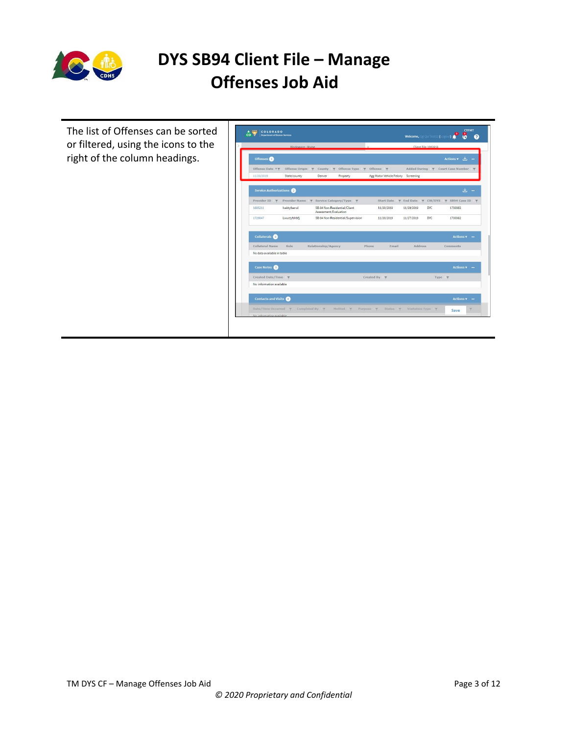

The list of Offenses can be sorted or filtered, using the icons to the right of the column headings.

|                            | Workspace - Home                       |                                                       |                                                                | Client File 1992618                                                   |                         |
|----------------------------|----------------------------------------|-------------------------------------------------------|----------------------------------------------------------------|-----------------------------------------------------------------------|-------------------------|
| Offenses <sup>(1)</sup>    |                                        |                                                       |                                                                |                                                                       | <b>Actions v</b><br>.⊾. |
| Offense Date <b>TT</b>     | Offense Origin $\forall$ County $\neg$ |                                                       | Offense Type $\blacktriangledown$ Offense $\blacktriangledown$ | Added During <b>T</b>                                                 | Court Case Number       |
| 11/20/2019                 | State/county                           | Denver<br>Property                                    | Agg Motor Vehicle Felony Screening                             |                                                                       |                         |
| Service Authorizations     |                                        |                                                       |                                                                |                                                                       | .↓.                     |
|                            |                                        | Provider ID ▼ Provider Name ▼ Service Category/Type ▼ |                                                                | Start Date $\forall$ End Date $\forall$ CW/DYS $\forall$ SB94 Case ID | $\mathbf{v}$            |
| 1695211                    | Ivektyfserwl                           | SB-94 Non-Residential/Client<br>Assessment/Evaluation | 11/20/2019                                                     | <b>DYC</b><br>11/20/2019                                              | 1730362                 |
| 1729047                    | Lwuctyfshbfi                           | SB-94 Non-Residential/Supervision                     | 11/20/2019                                                     | DYC<br>11/27/2019                                                     | 1730362                 |
| Collaterals <b>O</b>       |                                        |                                                       |                                                                |                                                                       | <b>Actions v</b>        |
| Collateral Name            | Role                                   | Relationship/Agency                                   | Phone<br>Email                                                 | Address                                                               | Comments                |
| No data available in table |                                        |                                                       |                                                                |                                                                       |                         |
| Case Notes                 |                                        |                                                       |                                                                |                                                                       | Actions $\sqrt{ }$ -    |
| Created Date/Time          |                                        |                                                       | Created By $\overline{\tau}$                                   | Type <b>T</b>                                                         |                         |
| No information available   |                                        |                                                       |                                                                |                                                                       |                         |
| <b>Contacts and Visits</b> |                                        |                                                       |                                                                |                                                                       | Actions $\mathbf{v}$ –  |
|                            |                                        |                                                       |                                                                |                                                                       |                         |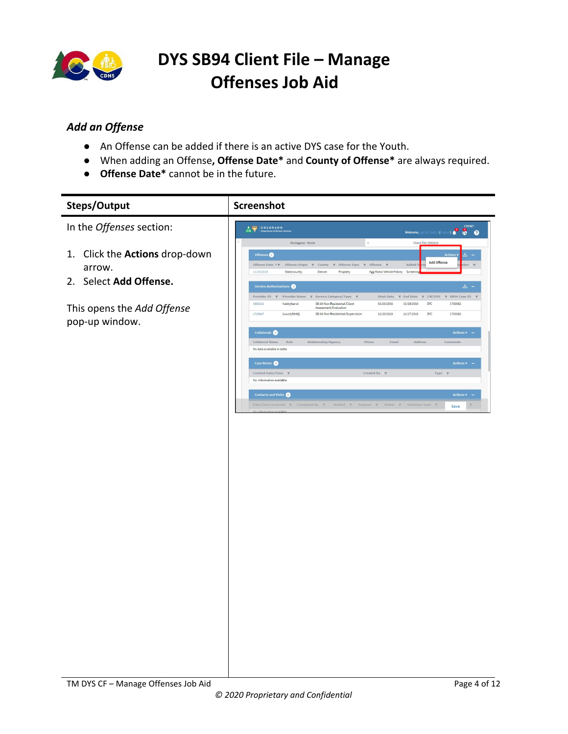

### <span id="page-3-0"></span>*Add an Offense*

- An Offense can be added if there is an active DYS case for the Youth.
- When adding an Offense**, Offense Date\*** and **County of Offense\*** are always required.
- **Offense Date\*** cannot be in the future.

| <b>Steps/Output</b>                          | <b>Screenshot</b>                                                                                                                                                                                                                                                                                                                                   |
|----------------------------------------------|-----------------------------------------------------------------------------------------------------------------------------------------------------------------------------------------------------------------------------------------------------------------------------------------------------------------------------------------------------|
| In the Offenses section:                     | <b>P</b> STEME<br>CO PARADO<br>Welcome, Cgi Qa Test12 (Log                                                                                                                                                                                                                                                                                          |
| Click the Actions drop-down<br>1.<br>arrow.  | Workspace - Home<br>$\times$<br>Client File 1992618<br>Offenses<br>Add Offense<br>Offense Date <b>* T</b><br>Offense Origin $\overline{\tau}$ County $\overline{\tau}$ Offense Type $\overline{\tau}$ Offense $\overline{\tau}$<br>Added<br>$\frac{1}{2}$<br>Agg Motor Vehicle Felony<br>11/20/2019<br>State/county<br>Denver<br>Property<br>Screen |
| 2. Select Add Offense.                       | $\pm$ $-$<br>Service Authorizations<br>Provider ID → Provider Name → Service Category/Type →<br>Start Date ▼ End Date ▼ CW/DYS ▼ SB94 Case ID ▼<br>1695211<br>lvektyfserwl<br>SB-94 Non-Residential/Client<br>11/20/2019<br>11/20/2019<br>DYC<br>1730362                                                                                            |
| This opens the Add Offense<br>pop-up window. | Assessment/Evaluation<br>SB-94 Non-Residential/Supervision<br><b>DYC</b><br>1729047<br>Lwuctyfshbfj<br>11/20/2019<br>11/27/2019<br>1730362<br>Collaterals O<br>Actions $\mathbf{v}$ -                                                                                                                                                               |
|                                              | Collateral Name<br>Relationship/Agency<br>Address<br>Role<br>Phone<br>Email<br>Comments<br>No data available in table                                                                                                                                                                                                                               |
|                                              | Case Notes<br>Actions v –<br>Created Date/Time<br>Created By<br>Type<br>$\overline{\mathbf{v}}$<br>No information available                                                                                                                                                                                                                         |
|                                              | <b>Contacts and Visits</b><br>Actions $\mathbf{v}$ –<br>Date/Time Occurred $\psi$ Completed By $\psi$ Method $\psi$ Purpose $\psi$ Status $\psi$ Visitation Type $\psi$<br>$\overline{\tau}$<br>Save                                                                                                                                                |
|                                              |                                                                                                                                                                                                                                                                                                                                                     |
|                                              |                                                                                                                                                                                                                                                                                                                                                     |
|                                              |                                                                                                                                                                                                                                                                                                                                                     |
|                                              |                                                                                                                                                                                                                                                                                                                                                     |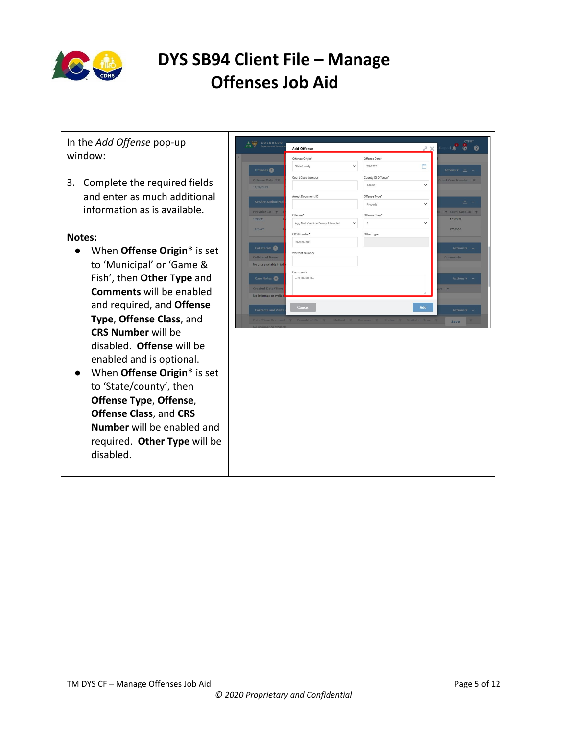

In the *Add Offense* pop-up window:

3. Complete the required fields and enter as much additional information as is available.

#### **Notes:**

- When **Offense Origin**\* is set to 'Municipal' or 'Game & Fish', then **Other Type** and **Comments** will be enabled and required, and **Offense Type**, **Offense Class**, and **CRS Number** will be disabled. **Offense** will be enabled and is optional.
- When **Offense Origin**\* is set to 'State/county', then **Offense Type**, **Offense**, **Offense Class**, and **CRS Number** will be enabled and required. **Other Type** will be disabled.

|                            | Offense Origin*                                    | Offense Date*      |                                 |
|----------------------------|----------------------------------------------------|--------------------|---------------------------------|
| Offenses                   | State/county<br>$\checkmark$                       | 曲<br>2/9/2020      | Actions $\mathbf{v}$ $\perp$ -  |
| Offense Date <b>* T</b>    | Court Case Number                                  | County Of Offense* | Court Case Number               |
| 11/20/2019                 |                                                    | Adams              | $\checkmark$                    |
|                            | Arrest Document ID                                 | Offense Type*      |                                 |
| Service Authorizati        |                                                    | Property           | $\frac{1}{2}$ -<br>$\checkmark$ |
| Provider ID <b>v</b>       | Offense*                                           | Offense Class*     | $\Psi$ SB94 Case ID $\Psi$      |
| 1695211                    | Agg Motor Vehicle Felony Attempted<br>$\checkmark$ | $\mathfrak{Z}$     | 1730362<br>$\checkmark$         |
| 1729047                    | CRS Number*                                        | Other Type         | 1730362                         |
| Collaterals <sup>(0)</sup> | 99-999-9999                                        |                    | Actions $\sqrt{}$ –             |
| <b>Collateral Name</b>     | Warrant Number                                     |                    | <b>Comments</b>                 |
| No data available in tab   |                                                    |                    |                                 |
|                            | Comments                                           |                    |                                 |
| Case Notes <sup>O</sup>    | -REDACTED-                                         |                    | $Actions$ $\sqrt{ }$ -          |
| <b>Created Date/Time</b>   |                                                    |                    | pe T                            |
| No information availab     |                                                    |                    |                                 |
|                            | Cancel                                             | Add                |                                 |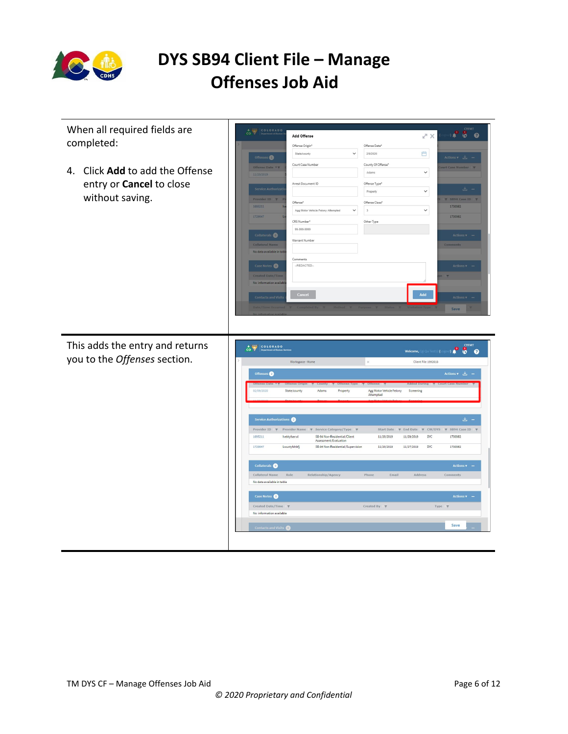

When all required fields are  $\bullet$   $\bullet$   $\bullet$ Add Offense  $\mathbb{Z}^n\times$ completed: Offense Origin\* Offense Date\* State/county 2/9/2020 門  $es$   $\bullet$ Court Case Number County Of Offense\* 4. Click **Add** to add the Offense  $\bar{\mathbf{v}}$ Adams entry or **Cancel** to close Arrest Document ID Offense Type\* Property  $\checkmark$ without saving. Offense<sup>\*</sup> lffense Class'  $\checkmark$ Agg Motor Vehicle Felony Att  $^{\rm 3}$ CRS Number\* Other Type 99-999-9999  $\bullet$ .<br>Warrant Number  $\overline{\bullet}$ -REDACTED-Cancel Add This adds the entry and returns **A**<br> **COLORADO**<br> **Peasttreat of Human Services**  $(2\left(\log(10)\right)\begin{pmatrix} 0 & 0 \ 0 & 0 \end{pmatrix}$  of  $\begin{pmatrix} 0 & 0 \ 0 & 0 \end{pmatrix}$ utalcoma<br>... you to the *Offenses* section.Workspace - Home Client File 1992618  $\bullet$ Adams Property Agg Motor Vehicle Felony<br>Attempted *Screening* tions  $\bullet$ Provider ID  $\psi$  Provider Na ▼ Service Category/Type ▼ Start Date  $\pi$  End Date  $\pi$  CW/DYS F SB94 Case ID 1695211 Ivektyfserwl SB-94 Non-Residential/Client<br>Assessment/Evaluation 11/20/2019 11/20/2019 **DYC** 1730362 1729047 Lwuctyfshbfj SB-94 Non-Residential/Supervision 11/20/2019  $11/27/2019$  DYC 1730362  $\frac{1}{2}$  Collaterals Collateral Name Role No data available in table Case Notes Created Date/Time No information available Save  $\overline{\phantom{a}}$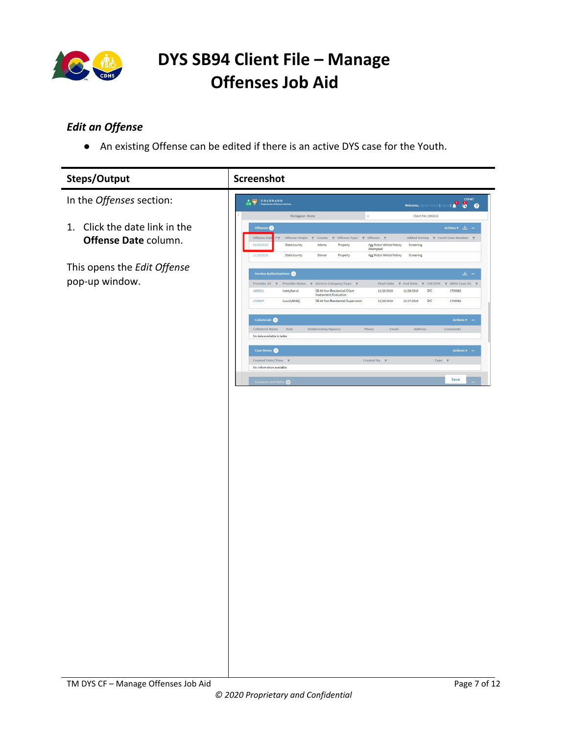

### <span id="page-6-0"></span>*Edit an Offense*

● An existing Offense can be edited if there is an active DYS case for the Youth.

| Steps/Output                     | Screenshot                                                                            |                                                                           |
|----------------------------------|---------------------------------------------------------------------------------------|---------------------------------------------------------------------------|
| In the Offenses section:         | COLORADO                                                                              | <b>CYFMT</b><br>Welcome, Cgi Qa Test12 (Logout) <b>Q</b> Q Q              |
|                                  | Workspace - Home<br>$\times$                                                          | Client File 1992618                                                       |
| Click the date link in the<br>1. | Offenses                                                                              | Actions v 上 -                                                             |
|                                  | Offense Date<br>Offense Origin $\pi$ County $\pi$ Offense Type $\pi$ Offense $\pi$    | Added During ▼ Court Case Number ▼                                        |
| Offense Date column.             | 02/09/2020<br>State/county<br>Adams<br>Property                                       | Agg Motor Vehicle Felony<br>Screening<br>Attempted                        |
|                                  | 11/20/2019<br>State/county<br>Denver<br>Property                                      | Agg Motor Vehicle Felony<br>Screening                                     |
| This opens the Edit Offense      |                                                                                       |                                                                           |
|                                  | Service Authorizations                                                                | 出 -                                                                       |
| pop-up window.                   | Provider ID → Provider Name → Service Category/Type →                                 | Start Date $\forall$ End Date<br>$\tau$ CW/DYS $\tau$ SB94 Case ID $\tau$ |
|                                  | 1695211<br>SB-94 Non-Residential/Client<br>lvektyfserwl<br>Assessment/Evaluation      | 11/20/2019<br>11/20/2019<br>DYC<br>1730362                                |
|                                  | 1729047<br>Lwuctyfshbfj<br>SB-94 Non-Residential/Supervision                          | 11/20/2019<br>11/27/2019<br><b>DYC</b><br>1730362                         |
|                                  |                                                                                       |                                                                           |
|                                  | Collaterals <b>O</b>                                                                  | <b>Actions v</b>                                                          |
|                                  | Collateral Name<br>Role<br>Relationship/Agency<br>Phone<br>No data available in table | Address<br>Email<br>Comments                                              |
|                                  |                                                                                       |                                                                           |
|                                  | Case Notes                                                                            | Actions $\mathbf{v}$ -                                                    |
|                                  | Created Date/Time<br>No information available                                         | Created By $\overline{\tau}$<br>Type <b>T</b>                             |
|                                  |                                                                                       |                                                                           |
|                                  | <b>Contacts and Visits (0)</b>                                                        | Save                                                                      |
|                                  |                                                                                       |                                                                           |
|                                  |                                                                                       |                                                                           |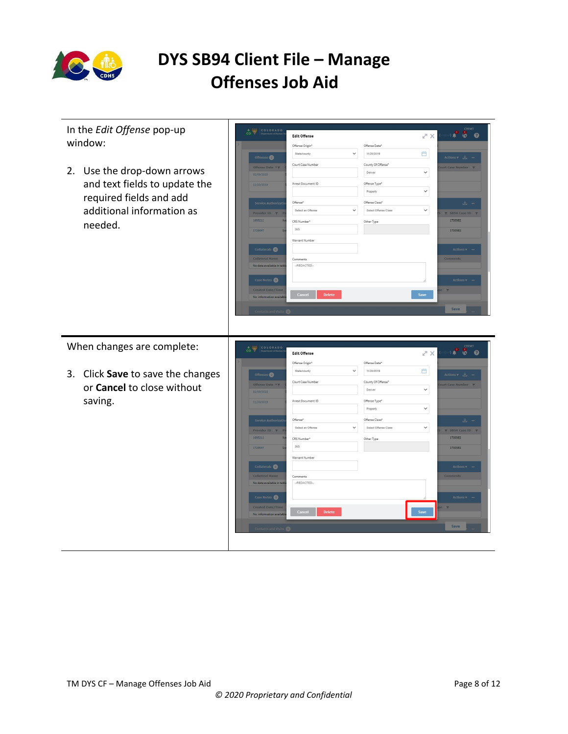

| In the Edit Offense pop-up<br>window:                                                                                           | CO COLORADO<br><b>Edit Offense</b><br>Offense Origin*<br>Offense Date'<br>11/20/2019<br>State/county<br>$\check{ }$<br>Offenses <sup>2</sup>                                                                                                                                                                                                                                                                                                                                                                                                                                                             | CYFMT<br>$\bullet$ $\bullet$ $\bullet$<br>スメ<br>門<br>Actions $\mathbf{v}$ $\perp$ -                                                                                        |
|---------------------------------------------------------------------------------------------------------------------------------|----------------------------------------------------------------------------------------------------------------------------------------------------------------------------------------------------------------------------------------------------------------------------------------------------------------------------------------------------------------------------------------------------------------------------------------------------------------------------------------------------------------------------------------------------------------------------------------------------------|----------------------------------------------------------------------------------------------------------------------------------------------------------------------------|
| 2. Use the drop-down arrows<br>and text fields to update the<br>required fields and add<br>additional information as<br>needed. | Court Case Number<br>County Of Offense*<br>Offense Date <b>v</b> T<br>Denver<br>02/09/2020<br>Arrest Document ID<br>Offense Type*<br>11/20/2019<br>Property<br>Offense*<br>Offense Class'<br>Service Authorizati<br>Select an Offense<br>Select Offense Class<br>$\check{ }$<br>Provider ID Y<br>1695211<br>CRS Number*<br>Other Type<br>365<br>1729047<br>Warrant Number<br>Collaterals <sup>O</sup><br><b>Collateral Name</b><br>Comments<br>No data available in tab<br>-REDACTED-<br>Case Notes (0)<br>Created Date/Time<br>Cancel<br><b>Delete</b><br>No information availal<br>Contacts and Visits | ourt Case Number <b>T</b><br>$\checkmark$<br>$\check{~}$<br>上 -<br>$\checkmark$<br>Y SB94 Case ID Y<br>1730362<br>1730362<br>Actions v<br>Actions <b>v</b><br>Save<br>Save |
|                                                                                                                                 |                                                                                                                                                                                                                                                                                                                                                                                                                                                                                                                                                                                                          |                                                                                                                                                                            |
| When changes are complete:                                                                                                      | COLORADO<br>$\frac{1}{100}$<br><b>Edit Offense</b>                                                                                                                                                                                                                                                                                                                                                                                                                                                                                                                                                       | CYFMT<br>$\bullet$ $\bullet$<br>$\frac{1}{2}$<br>フメ                                                                                                                        |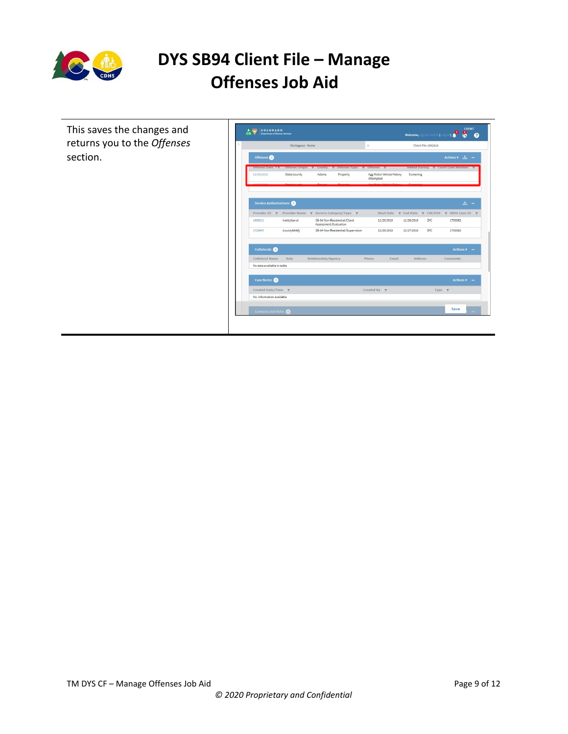

| This saves the changes and                   | <b>CYFMT</b><br>$A \nightharpoonup$<br>COLORADO<br>8<br>co v<br><b>Department of Human Services</b><br>Welcome, Cai Oa Test12 (L<br>$\bullet$<br>m               |
|----------------------------------------------|------------------------------------------------------------------------------------------------------------------------------------------------------------------|
| returns you to the Offenses<br>$\mathcal{L}$ | Workspace - Home<br>Client File 1992618<br>$\times$                                                                                                              |
|                                              | Offenses<br>Actions $\mathbf{v}$ $\perp$ $\perp$                                                                                                                 |
|                                              | Offense Origin Y County Y Offense Type Y Offense<br>Added During Y Court Case Number<br>Offense Date <b>YY</b><br>Agg Motor Vehicle Felony<br>Screening<br>Adams |
|                                              | 02/09/2020<br>State/county<br>Property<br>Attempted                                                                                                              |
|                                              |                                                                                                                                                                  |
|                                              | 医一<br>Service Authorizations                                                                                                                                     |
|                                              | Provider Name ▼ Service Category/Type ▼<br>SB94 Case ID<br>Provider ID \<br>Start Date<br>F End Date<br><b>T</b> CW/DYS<br>$\mathbf{v}$                          |
|                                              | SB-94 Non-Residential/Client<br>DYC<br>1695211<br>Ivektyfserwl<br>11/20/2019<br>11/20/2019<br>1730362<br>Assessment/Evaluation                                   |
|                                              | Lwuctyfshbfj<br>SB-94 Non-Residential/Supervision<br><b>DYC</b><br>1730362<br>1729047<br>11/20/2019<br>11/27/2019                                                |
|                                              |                                                                                                                                                                  |
|                                              | Collaterals <b>O</b><br>Actions $\mathbf{v}$ –                                                                                                                   |
|                                              | Collateral Name<br>Role<br>Relationship/Agency<br>Phone<br><b>Address</b><br>Email<br>Comments                                                                   |
|                                              | No data available in table                                                                                                                                       |
|                                              | Case Notes<br>Actions $\mathbf{v}$ –                                                                                                                             |
|                                              | Created Date/Time<br>Created By<br>Type <b>T</b>                                                                                                                 |
|                                              | No information available                                                                                                                                         |
|                                              | Save<br>Contacts and Visits                                                                                                                                      |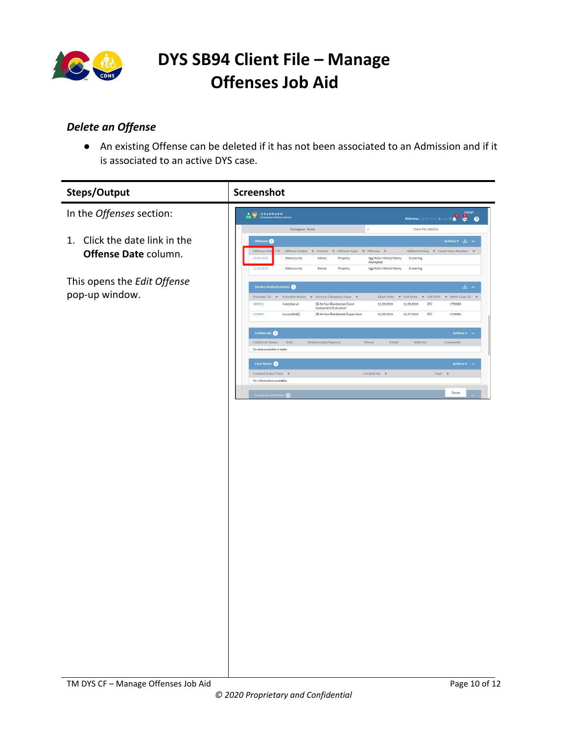

### <span id="page-9-0"></span>*Delete an Offense*

● An existing Offense can be deleted if it has not been associated to an Admission and if it is associated to an active DYS case.

| <b>Steps/Output</b>                                      | Screenshot                                                                                                                                                                                |                                                                                       |
|----------------------------------------------------------|-------------------------------------------------------------------------------------------------------------------------------------------------------------------------------------------|---------------------------------------------------------------------------------------|
| In the Offenses section:                                 | COLORADO                                                                                                                                                                                  | Welcome, @ Qa Test12 (Logout) <b>@ COVEMT</b>                                         |
|                                                          | $\times$<br>Workspace - Home                                                                                                                                                              | Client File 1992618                                                                   |
| Click the date link in the<br>1.<br>Offense Date column. | Offenses <sup>®</sup><br>Offense Dat<br>Offense Origin $\pi$ County $\pi$ Offense Type $\pi$ Offense $\pi$<br>Agg Motor Vehicle Felony<br>02/09/2020<br>State/county<br>Adams<br>Property | Actions $\sqrt{2}$ –<br>Added During $\gamma$ Court Case Number $\gamma$<br>Screening |
|                                                          | Attempted<br>11/20/2019<br>State/county<br>Denver<br>Property<br>Agg Motor Vehicle Felony                                                                                                 | Screening                                                                             |
| This opens the Edit Offense<br>pop-up window.            | Service Authorizations<br>Provider ID → Provider Name → Service Category/Type →                                                                                                           | 出 -<br>$\gamma$ CW/DYS $\gamma$ SB94 Case ID $\gamma$<br>Start Date $\pi$ End Date    |
|                                                          | 1695211<br>SB-94 Non-Residential/Client<br>11/20/2019<br>Ivektyfserwl<br>Assessment/Evaluation<br>1729047<br>Lwuctyfshbfj<br>SB-94 Non-Residential/Supervision<br>11/20/2019              | DYC<br>11/20/2019<br>1730362<br>11/27/2019<br>DYC<br>1730362                          |
|                                                          | Collaterals <b>O</b><br>Collateral Name<br>Role<br>Relationship/Agency<br>Phone                                                                                                           | <b>Actions v</b><br>$\mathsf{Email}$<br>Address<br>$comments$                         |
|                                                          | No data available in table                                                                                                                                                                |                                                                                       |
|                                                          | Case Notes<br>Created By<br>Created Date/Time<br>No information available                                                                                                                 | Actions <b>v</b><br>Type <b>T</b>                                                     |
|                                                          | <b>Contacts and Visits</b>                                                                                                                                                                | Save                                                                                  |
|                                                          |                                                                                                                                                                                           |                                                                                       |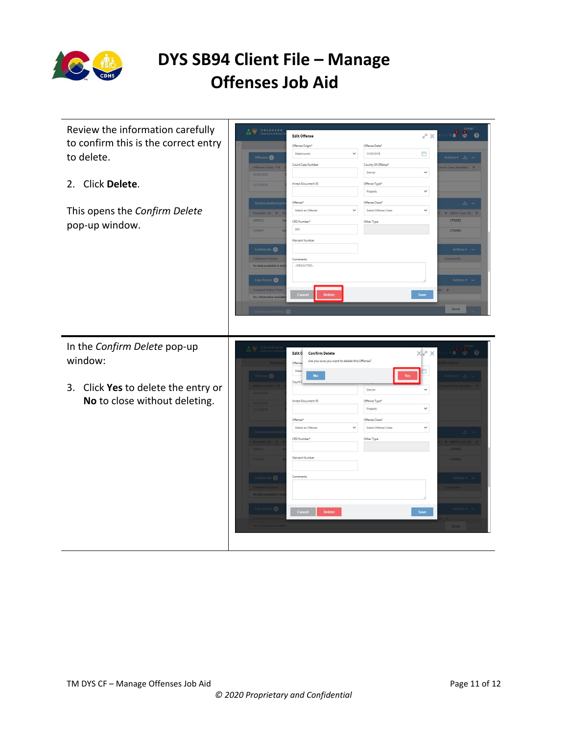

| Review the information carefully<br>to confirm this is the correct entry<br>to delete.<br>Click Delete.<br>2.<br>This opens the Confirm Delete<br>pop-up window. | <b>CYFMT</b><br>COLORADO<br>$\overline{\mathbf{a}}$<br>$\bullet$ $\bullet$<br>$X \times$<br><b>Edit Offense</b><br>Offense Origin*<br>Offense Date'<br>門<br>State/county<br>$\check{ }$<br>11/20/2019<br>Offenses <sup>2</sup><br>Actions $\mathbf{v}$ $\perp$<br>County Of Offense*<br>Court Case Number<br>Offense Date <b>T</b> T<br>urt Case Number<br>$\checkmark$<br>Denver<br>02/09/2020<br>Arrest Document ID<br>Offense Type*<br>11/20/2019<br>$\check{~}$<br>Property<br>Offense*<br>Offense Class*<br>Service Authorizati<br>玉<br>Select an Offense<br>$\checkmark$<br>Select Offense Class<br>$\checkmark$<br>Provider ID T<br>Y SB94 Case ID Y<br>1695211<br>1730362<br>CRS Number*<br>Other Type<br>365<br>1729047<br>1730362<br>Warrant Number<br>Collaterals O<br><b>Actions</b> v<br><b>Collateral Name</b><br>Comments<br>-REDACTED-<br>No data available in tab<br>Case Notes (0)<br>Actions v<br><b>Created Date/Time</b><br>Cance<br>Save<br><b>Delete</b><br>No information availa<br>Save |  |
|------------------------------------------------------------------------------------------------------------------------------------------------------------------|------------------------------------------------------------------------------------------------------------------------------------------------------------------------------------------------------------------------------------------------------------------------------------------------------------------------------------------------------------------------------------------------------------------------------------------------------------------------------------------------------------------------------------------------------------------------------------------------------------------------------------------------------------------------------------------------------------------------------------------------------------------------------------------------------------------------------------------------------------------------------------------------------------------------------------------------------------------------------------------------------------------|--|
| In the Confirm Delete pop-up<br>window:<br>Click Yes to delete the entry or<br>3.<br>No to close without deleting.                                               | COLORAD<br>$\times$ X<br>$\odot$<br>Edit 0<br><b>Confirm Delete</b><br>血<br>$\circ$<br>Are you sure you want to delete this Offense?<br>Offense<br>State<br><b>No</b><br>Court I<br>Denver<br>$\checkmark$<br>Arrest Document ID<br>Offense Type*<br>$\check{~}$<br>Property<br>Offense*<br>Offense Class*<br>Select Offense Class<br>Select an Offense<br>$\checkmark$<br>$\checkmark$<br>CRS Number*<br>Other Type<br>Warrant Number<br>173036<br>Comments<br>Collaterals (O)<br>o data available in ta<br>Cancel<br><b>Delete</b><br>Save                                                                                                                                                                                                                                                                                                                                                                                                                                                                     |  |